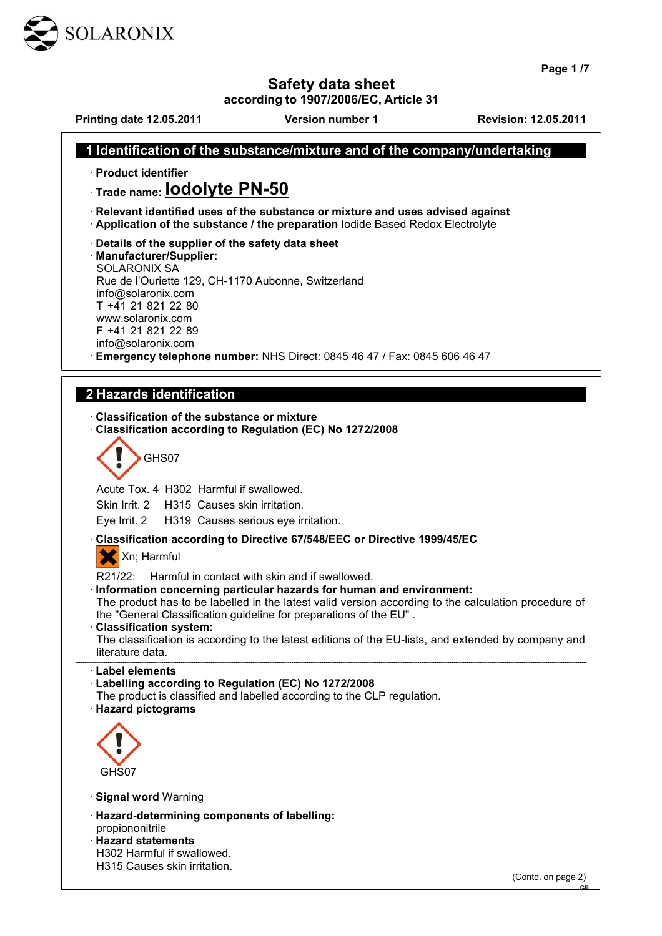

**Page 1 /7**

## **Safety data sheet**

**according to 1907/2006/EC, Article 31**

**Printing date 12.05.2011 Version number 1 Revision: 12.05.2011**

(Contd. on page 2)

GB

## **1 Identification of the substance/mixture and of the company/undertaking**  · **Product identifier** · **Trade name: Iodolyte PN-50** · **Relevant identified uses of the substance or mixture and uses advised against** · **Application of the substance / the preparation** Iodide Based Redox Electrolyte · **Details of the supplier of the safety data sheet** · **Manufacturer/Supplier:** SOLARONIX SA Rue de l'Ouriette 129, CH-1170 Aubonne, Switzerland info@solaronix.com T +41 21 821 22 80 www.solaronix.com F +41 21 821 22 89 info@solaronix.com · **Emergency telephone number:** NHS Direct: 0845 46 47 / Fax: 0845 606 46 47  **2 Hazards identification**  · **Classification of the substance or mixture** · **Classification according to Regulation (EC) No 1272/2008** GHS07 Acute Tox. 4 H302 Harmful if swallowed. Skin Irrit. 2 H315 Causes skin irritation. Eye Irrit. 2 H319 Causes serious eye irritation. · **Classification according to Directive 67/548/EEC or Directive 1999/45/EC** X Xn; Harmful R21/22: Harmful in contact with skin and if swallowed. · **Information concerning particular hazards for human and environment:** The product has to be labelled in the latest valid version according to the calculation procedure of the "General Classification guideline for preparations of the EU" . · **Classification system:** The classification is according to the latest editions of the EU-lists, and extended by company and literature data. · **Label elements** · **Labelling according to Regulation (EC) No 1272/2008** The product is classified and labelled according to the CLP regulation. · **Hazard pictograms** GHS07 · **Signal word** Warning · **Hazard-determining components of labelling:** propiononitrile · **Hazard statements** H302 Harmful if swallowed. H315 Causes skin irritation.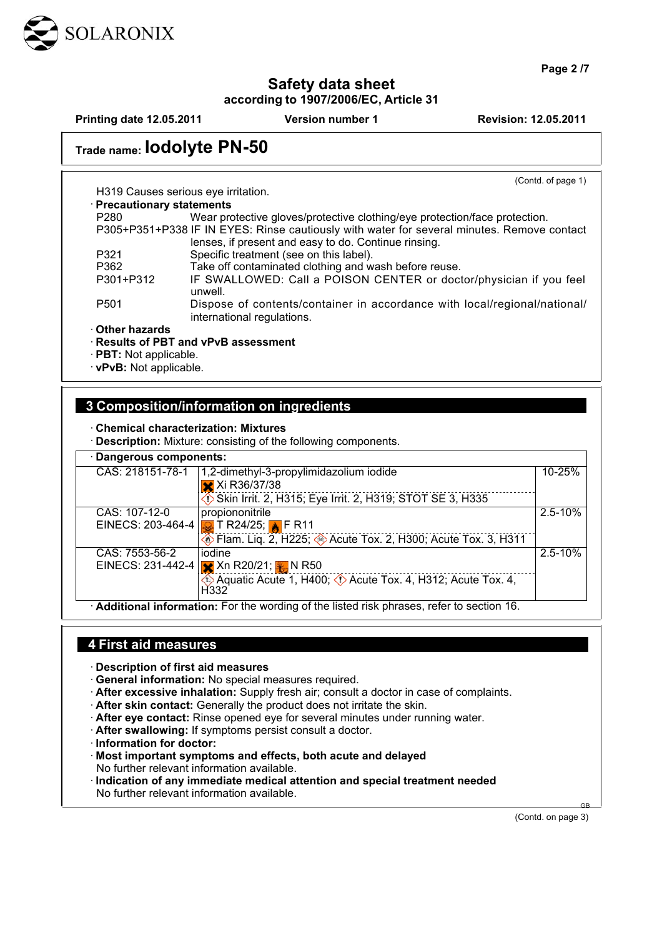

**Page 2 /7**

## **Safety data sheet according to 1907/2006/EC, Article 31**

**Printing date 12.05.2011 Version number 1 Revision: 12.05.2011**

# **Trade name: Iodolyte PN-50**

(Contd. of page 1)

| $\cdot$ Precautionary statements |                                                                            |
|----------------------------------|----------------------------------------------------------------------------|
| P <sub>280</sub>                 | Wear protective gloves/protective clothing/eye protection/face protection. |

H319 Causes serious eye irritation.

| .    | them protocing gives on protocing one imaging to protocing the protocion of                |
|------|--------------------------------------------------------------------------------------------|
|      | P305+P351+P338 IF IN EYES: Rinse cautiously with water for several minutes. Remove contact |
|      | lenses, if present and easy to do. Continue rinsing.                                       |
| P321 | Specific treatment (see on this label).                                                    |

- P362 Take off contaminated clothing and wash before reuse.<br>P301+P312 IF SWALLOWED: Call a POISON CENTER or doct
- IF SWALLOWED: Call a POISON CENTER or doctor/physician if you feel unwell.
- P501 Dispose of contents/container in accordance with local/regional/national/ international regulations.

· **Other hazards**

## · **Results of PBT and vPvB assessment**

- · **PBT:** Not applicable.
- · **vPvB:** Not applicable.

## **3 Composition/information on ingredients**

## · **Chemical characterization: Mixtures**

· **Description:** Mixture: consisting of the following components.

| · Dangerous components:                                                                  |                                                                                                                                                           |             |  |  |
|------------------------------------------------------------------------------------------|-----------------------------------------------------------------------------------------------------------------------------------------------------------|-------------|--|--|
| CAS: 218151-78-1                                                                         | 1,2-dimethyl-3-propylimidazolium iodide<br>X Xi R36/37/38<br>Skin Irrit. 2, H315; Eye Irrit. 2, H319; STOT SE 3, H335                                     | $10 - 25%$  |  |  |
| CAS: 107-12-0                                                                            | propiononitrile<br>EINECS: 203-464-4 <b>D</b> T R24/25; A F R11<br>⊙ Flam. Liq. 2, H225; → Acute Tox. 2, H300; Acute Tox. 3, H311                         | $2.5 - 10%$ |  |  |
| CAS: 7553-56-2                                                                           | iodine<br>EINECS: 231-442-4 $\sqrt{\times}$ Xn R20/21; $\frac{1}{\sqrt{2}}$ N R50<br>Aquatic Acute 1, H400; (1) Acute Tox. 4, H312; Acute Tox. 4,<br>H332 | $2.5 - 10%$ |  |  |
| Additional information: For the wording of the listed risk phrases, refer to section 16. |                                                                                                                                                           |             |  |  |

## **4 First aid measures**

· **Description of first aid measures**

- · **General information:** No special measures required.
- · **After excessive inhalation:** Supply fresh air; consult a doctor in case of complaints.
- · **After skin contact:** Generally the product does not irritate the skin.
- · **After eye contact:** Rinse opened eye for several minutes under running water.
- · **After swallowing:** If symptoms persist consult a doctor.
- · **Information for doctor:**
- · **Most important symptoms and effects, both acute and delayed** No further relevant information available.
- · **Indication of any immediate medical attention and special treatment needed** No further relevant information available.

(Contd. on page 3)

GB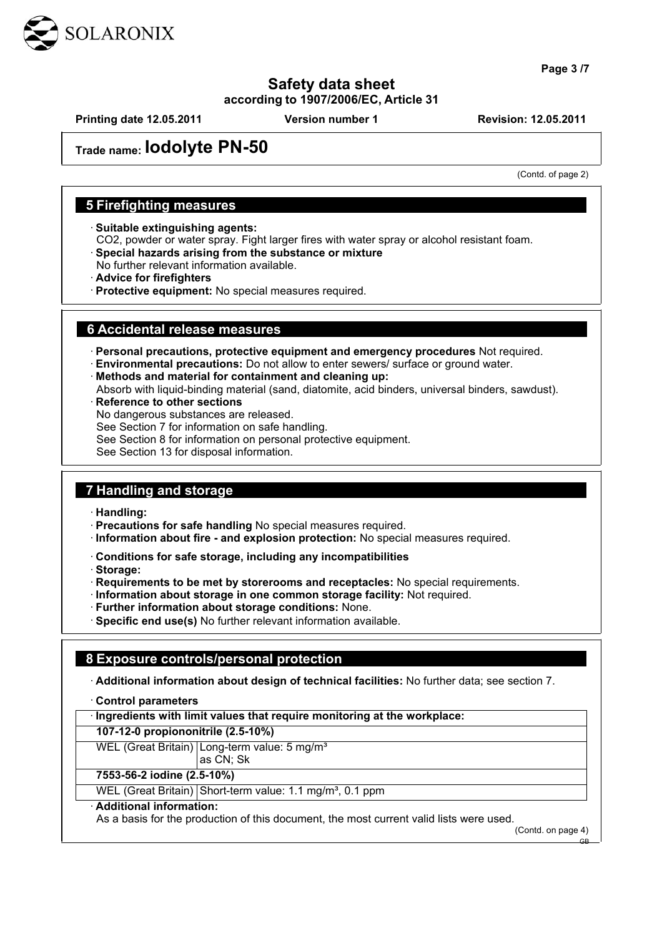

**Page 3 /7**

## **Safety data sheet according to 1907/2006/EC, Article 31**

**Printing date 12.05.2011 Version number 1 Revision: 12.05.2011**

## **Trade name: Iodolyte PN-50**

(Contd. of page 2)

## **5 Firefighting measures**

· **Suitable extinguishing agents:**

CO2, powder or water spray. Fight larger fires with water spray or alcohol resistant foam.

- · **Special hazards arising from the substance or mixture**
- No further relevant information available.
- · **Advice for firefighters**
- · **Protective equipment:** No special measures required.

## **6 Accidental release measures**

· **Personal precautions, protective equipment and emergency procedures** Not required.

- · **Environmental precautions:** Do not allow to enter sewers/ surface or ground water.
- · **Methods and material for containment and cleaning up:**

Absorb with liquid-binding material (sand, diatomite, acid binders, universal binders, sawdust).

**Reference to other sections** 

No dangerous substances are released.

See Section 7 for information on safe handling.

See Section 8 for information on personal protective equipment.

See Section 13 for disposal information.

## **7 Handling and storage**

· **Handling:**

· **Precautions for safe handling** No special measures required.

- · **Information about fire and explosion protection:** No special measures required.
- · **Conditions for safe storage, including any incompatibilities**

· **Storage:**

- · **Requirements to be met by storerooms and receptacles:** No special requirements.
- · **Information about storage in one common storage facility:** Not required.
- · **Further information about storage conditions:** None.
- · **Specific end use(s)** No further relevant information available.

## **8 Exposure controls/personal protection**

· **Additional information about design of technical facilities:** No further data; see section 7.

#### · **Control parameters**

· **Ingredients with limit values that require monitoring at the workplace:**

**107-12-0 propiononitrile (2.5-10%)**

WEL (Great Britain) Long-term value: 5 mg/m<sup>3</sup> as CN; Sk

**7553-56-2 iodine (2.5-10%)**

WEL (Great Britain) Short-term value: 1.1 mg/m<sup>3</sup>, 0.1 ppm

#### · **Additional information:**

As a basis for the production of this document, the most current valid lists were used.

(Contd. on page 4)

GB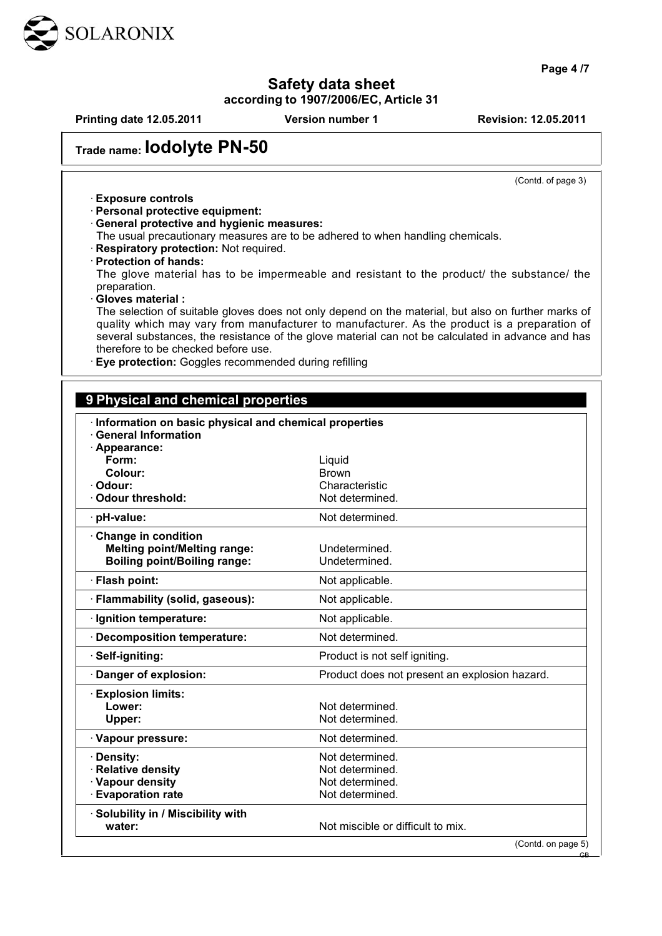

**Page 4 /7**

## **Safety data sheet**

**according to 1907/2006/EC, Article 31**

| <b>Printing date 12.05.2011</b>                                                  | <b>Version number 1</b>                                                                                                                                                                             | <b>Revision: 12.05.2011</b>                   |
|----------------------------------------------------------------------------------|-----------------------------------------------------------------------------------------------------------------------------------------------------------------------------------------------------|-----------------------------------------------|
| Trade name: IOdolyte PN-50                                                       |                                                                                                                                                                                                     |                                               |
|                                                                                  |                                                                                                                                                                                                     | (Contd. of page 3)                            |
| · Exposure controls                                                              |                                                                                                                                                                                                     |                                               |
| · Personal protective equipment:                                                 |                                                                                                                                                                                                     |                                               |
| · General protective and hygienic measures:                                      | The usual precautionary measures are to be adhered to when handling chemicals.                                                                                                                      |                                               |
| Respiratory protection: Not required.                                            |                                                                                                                                                                                                     |                                               |
| · Protection of hands:                                                           |                                                                                                                                                                                                     |                                               |
|                                                                                  | The glove material has to be impermeable and resistant to the product/ the substance/ the                                                                                                           |                                               |
| preparation.                                                                     |                                                                                                                                                                                                     |                                               |
| · Gloves material:                                                               |                                                                                                                                                                                                     |                                               |
|                                                                                  | The selection of suitable gloves does not only depend on the material, but also on further marks of<br>quality which may vary from manufacturer to manufacturer. As the product is a preparation of |                                               |
|                                                                                  | several substances, the resistance of the glove material can not be calculated in advance and has                                                                                                   |                                               |
| therefore to be checked before use.                                              |                                                                                                                                                                                                     |                                               |
| Eye protection: Goggles recommended during refilling                             |                                                                                                                                                                                                     |                                               |
|                                                                                  |                                                                                                                                                                                                     |                                               |
| · Information on basic physical and chemical properties<br>· General Information |                                                                                                                                                                                                     |                                               |
| · Appearance:                                                                    |                                                                                                                                                                                                     |                                               |
| Form:<br>Colour:                                                                 | Liquid<br><b>Brown</b>                                                                                                                                                                              |                                               |
| · Odour:                                                                         | Characteristic                                                                                                                                                                                      |                                               |
| Odour threshold:                                                                 | Not determined.                                                                                                                                                                                     |                                               |
| · pH-value:                                                                      | Not determined.                                                                                                                                                                                     |                                               |
| Change in condition                                                              |                                                                                                                                                                                                     |                                               |
| <b>Melting point/Melting range:</b>                                              | Undetermined.                                                                                                                                                                                       |                                               |
| <b>Boiling point/Boiling range:</b>                                              | Undetermined.                                                                                                                                                                                       |                                               |
| · Flash point:                                                                   | Not applicable.                                                                                                                                                                                     |                                               |
| · Flammability (solid, gaseous):                                                 | Not applicable.                                                                                                                                                                                     |                                               |
| · Ignition temperature:                                                          | Not applicable.                                                                                                                                                                                     |                                               |
| <b>Decomposition temperature:</b>                                                | Not determined.                                                                                                                                                                                     |                                               |
| Self-igniting:                                                                   | Product is not self igniting.                                                                                                                                                                       |                                               |
| Danger of explosion:                                                             |                                                                                                                                                                                                     | Product does not present an explosion hazard. |
| <b>Explosion limits:</b>                                                         |                                                                                                                                                                                                     |                                               |
| Lower:                                                                           | Not determined.                                                                                                                                                                                     |                                               |
| Upper:                                                                           | Not determined.                                                                                                                                                                                     |                                               |
| · Vapour pressure:                                                               | Not determined.                                                                                                                                                                                     |                                               |

· **Density:** Not determined. · **Relative density Not determined.** · Vapour density **Not determined.** 

· **Solubility in / Miscibility with**

· **Evaporation rate Not determined. water:**  $\blacksquare$  Not miscible or difficult to mix.

(Contd. on page 5)

GB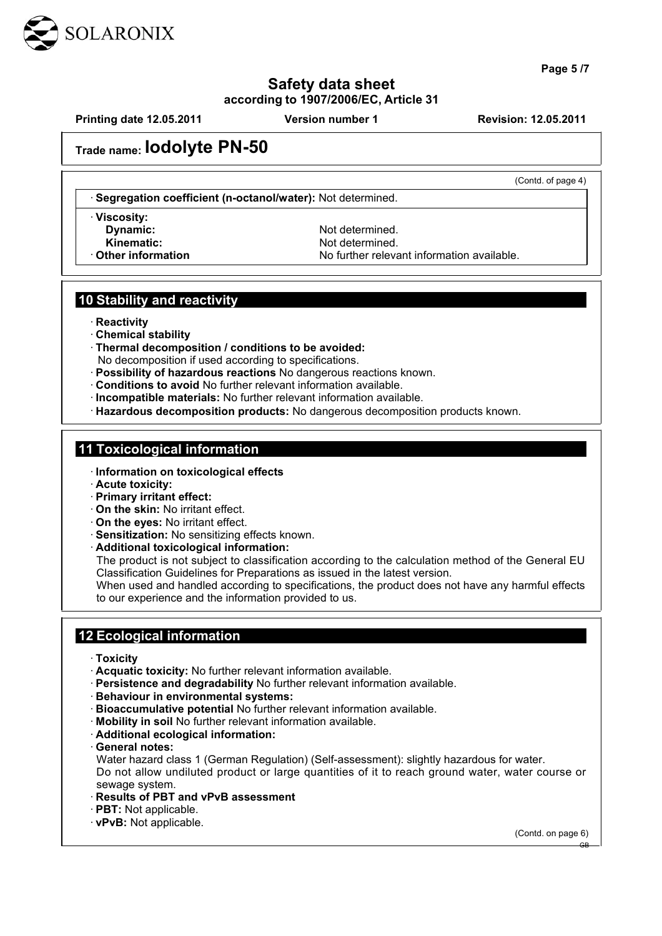

**Page 5 /7**

## **Safety data sheet according to 1907/2006/EC, Article 31**

**Printing date 12.05.2011 Version number 1 Revision: 12.05.2011**

(Contd. of page 4)

## **Trade name: Iodolyte PN-50**

· **Segregation coefficient (n-octanol/water):** Not determined.

· **Viscosity:**

**Dynamic:** Not determined. **Kinematic:** Not determined. **Other information** No further relevant information available.

## **10 Stability and reactivity**

- · **Reactivity**
- · **Chemical stability**
- · **Thermal decomposition / conditions to be avoided:** No decomposition if used according to specifications.
- · **Possibility of hazardous reactions** No dangerous reactions known.
- · **Conditions to avoid** No further relevant information available.
- · **Incompatible materials:** No further relevant information available.
- · **Hazardous decomposition products:** No dangerous decomposition products known.

## **11 Toxicological information**

- · **Information on toxicological effects**
- · **Acute toxicity:**
- · **Primary irritant effect:**
- · **On the skin:** No irritant effect.
- · **On the eyes:** No irritant effect.
- · **Sensitization:** No sensitizing effects known.
- · **Additional toxicological information:**

The product is not subject to classification according to the calculation method of the General EU Classification Guidelines for Preparations as issued in the latest version.

When used and handled according to specifications, the product does not have any harmful effects to our experience and the information provided to us.

## **12 Ecological information**

- · **Toxicity**
- · **Acquatic toxicity:** No further relevant information available.
- · **Persistence and degradability** No further relevant information available.
- · **Behaviour in environmental systems:**
- · **Bioaccumulative potential** No further relevant information available.
- · **Mobility in soil** No further relevant information available.
- · **Additional ecological information:**
- · **General notes:**

Water hazard class 1 (German Regulation) (Self-assessment): slightly hazardous for water. Do not allow undiluted product or large quantities of it to reach ground water, water course or sewage system.

- · **Results of PBT and vPvB assessment**
- · **PBT:** Not applicable.
- · **vPvB:** Not applicable.

(Contd. on page 6)

GB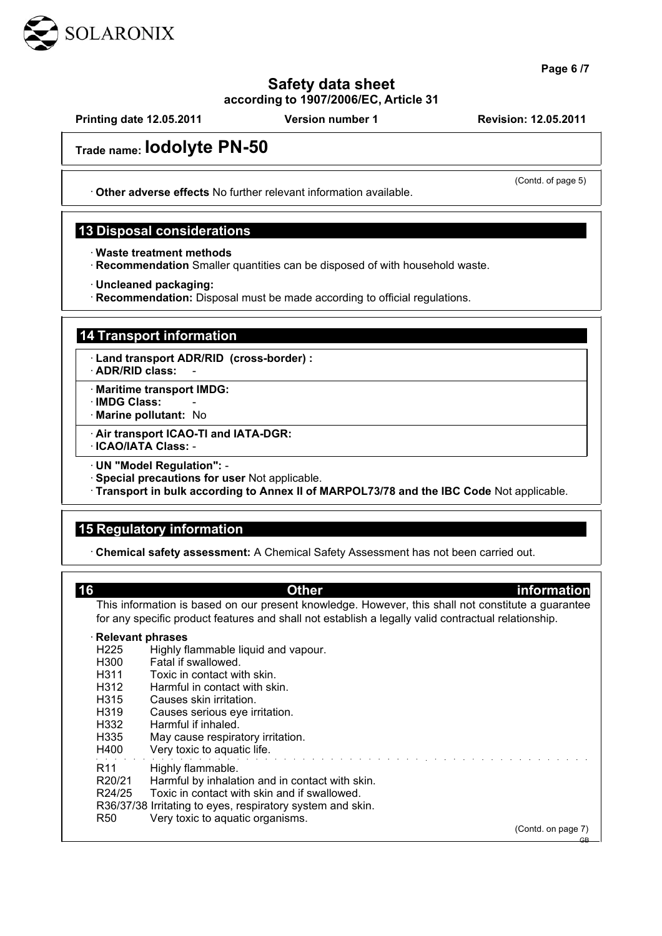

**Page 6 /7**

## **Safety data sheet according to 1907/2006/EC, Article 31**

**Printing date 12.05.2011 Version number 1 Revision: 12.05.2011**

## **Trade name: Iodolyte PN-50**

· **Other adverse effects** No further relevant information available.

## **13 Disposal considerations**

· **Waste treatment methods**

· **Recommendation** Smaller quantities can be disposed of with household waste.

· **Uncleaned packaging:**

· **Recommendation:** Disposal must be made according to official regulations.

## **14 Transport information**

· **Land transport ADR/RID (cross-border) :**

· **ADR/RID class:** -

· **Maritime transport IMDG:**

· **IMDG Class:** -

· **Marine pollutant:** No

· **Air transport ICAO-TI and IATA-DGR:** · **ICAO/IATA Class:** -

· **UN "Model Regulation":** - · **Special precautions for user** Not applicable.

· **Transport in bulk according to Annex II of MARPOL73/78 and the IBC Code** Not applicable.

## **15 Regulatory information**

· **Chemical safety assessment:** A Chemical Safety Assessment has not been carried out.

| 16                  | <b>Other</b>                                                                                                                                                                                              | <b>information</b> |
|---------------------|-----------------------------------------------------------------------------------------------------------------------------------------------------------------------------------------------------------|--------------------|
|                     | This information is based on our present knowledge. However, this shall not constitute a guarantee<br>for any specific product features and shall not establish a legally valid contractual relationship. |                    |
|                     | $\cdot$ Relevant phrases                                                                                                                                                                                  |                    |
| H <sub>225</sub>    | Highly flammable liquid and vapour.                                                                                                                                                                       |                    |
| H300                | Fatal if swallowed.                                                                                                                                                                                       |                    |
| H311                | Toxic in contact with skin.                                                                                                                                                                               |                    |
| H312                | Harmful in contact with skin.                                                                                                                                                                             |                    |
| H315                | Causes skin irritation.                                                                                                                                                                                   |                    |
| H319                | Causes serious eye irritation.                                                                                                                                                                            |                    |
| H332                | Harmful if inhaled.                                                                                                                                                                                       |                    |
| H335                | May cause respiratory irritation.                                                                                                                                                                         |                    |
| H400                | Very toxic to aquatic life.                                                                                                                                                                               |                    |
| R <sub>11</sub>     | Highly flammable.                                                                                                                                                                                         |                    |
| R <sub>20</sub> /21 | Harmful by inhalation and in contact with skin.                                                                                                                                                           |                    |
| R24/25              | Toxic in contact with skin and if swallowed.                                                                                                                                                              |                    |
|                     | R36/37/38 Irritating to eyes, respiratory system and skin.                                                                                                                                                |                    |
| R <sub>50</sub>     | Very toxic to aquatic organisms.                                                                                                                                                                          |                    |
|                     |                                                                                                                                                                                                           | (Contd. on page 7) |
|                     |                                                                                                                                                                                                           | $GB-$              |

(Contd. of page 5)